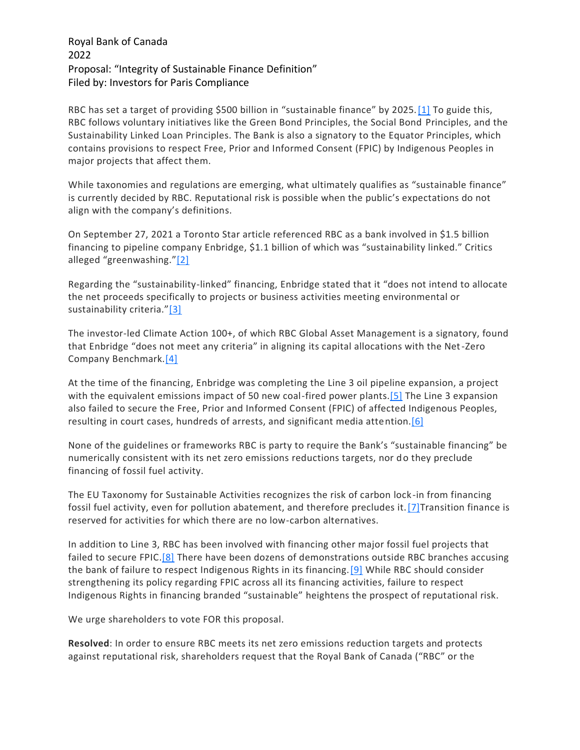## Royal Bank of Canada 2022 Proposal: "Integrity of Sustainable Finance Definition" Filed by: Investors for Paris Compliance

RBC has set a target of providing \$500 billion in "sustainable finance" by 2025.[\[1\]](https://exchange.iccr.org/resolution/130496#_ftn1) To guide this, RBC follows voluntary initiatives like the Green Bond Principles, the Social Bond Principles, and the Sustainability Linked Loan Principles. The Bank is also a signatory to the Equator Principles, which contains provisions to respect Free, Prior and Informed Consent (FPIC) by Indigenous Peoples in major projects that affect them.

While taxonomies and regulations are emerging, what ultimately qualifies as "sustainable finance" is currently decided by RBC. Reputational risk is possible when the public's expectations do not align with the company's definitions.

On September 27, 2021 a Toronto Star article referenced RBC as a bank involved in \$1.5 billion financing to pipeline company Enbridge, \$1.1 billion of which was "sustainability linked." Critics alleged "greenwashing."[\[2\]](https://exchange.iccr.org/resolution/130496#_ftn2)

Regarding the "sustainability-linked" financing, Enbridge stated that it "does not intend to allocate the net proceeds specifically to projects or business activities meeting environmental or sustainability criteria."[\[3\]](https://exchange.iccr.org/resolution/130496#_ftn3)

The investor-led Climate Action 100+, of which RBC Global Asset Management is a signatory, found that Enbridge "does not meet any criteria" in aligning its capital allocations with the Net-Zero Company Benchmark[.\[4\]](https://exchange.iccr.org/resolution/130496#_ftn4)

At the time of the financing, Enbridge was completing the Line 3 oil pipeline expansion, a project with the equivalent emissions impact of 50 new coal-fired power plants.<sup>[5]</sup> The Line 3 expansion also failed to secure the Free, Prior and Informed Consent (FPIC) of affected Indigenous Peoples, resulting in court cases, hundreds of arrests, and significant media attention[.\[6\]](https://exchange.iccr.org/resolution/130496#_ftn6)

None of the guidelines or frameworks RBC is party to require the Bank's "sustainable financing" be numerically consistent with its net zero emissions reductions targets, nor do they preclude financing of fossil fuel activity.

The EU Taxonomy for Sustainable Activities recognizes the risk of carbon lock-in from financing fossil fuel activity, even for pollution abatement, and therefore precludes it[.\[7\]T](https://exchange.iccr.org/resolution/130496#_ftn7)ransition finance is reserved for activities for which there are no low-carbon alternatives.

In addition to Line 3, RBC has been involved with financing other major fossil fuel projects that failed to secure FPIC.<sup>[8]</sup> There have been dozens of demonstrations outside RBC branches accusing the bank of failure to respect Indigenous Rights in its financing. [9] While RBC should consider strengthening its policy regarding FPIC across all its financing activities, failure to respect Indigenous Rights in financing branded "sustainable" heightens the prospect of reputational risk.

We urge shareholders to vote FOR this proposal.

**Resolved**: In order to ensure RBC meets its net zero emissions reduction targets and protects against reputational risk, shareholders request that the Royal Bank of Canada ("RBC" or the